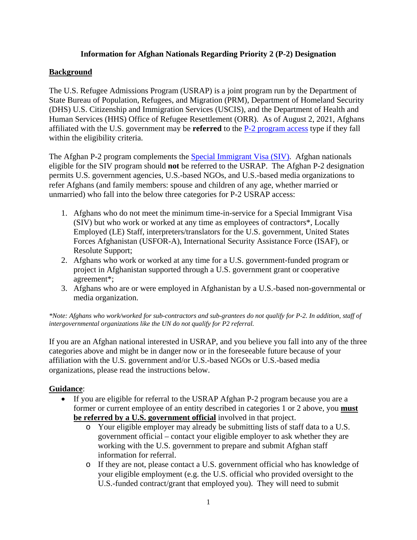# **Information for Afghan Nationals Regarding Priority 2 (P-2) Designation**

### **Background**

The U.S. Refugee Admissions Program (USRAP) is a joint program run by the Department of State Bureau of Population, Refugees, and Migration (PRM), Department of Homeland Security (DHS) U.S. Citizenship and Immigration Services (USCIS), and the Department of Health and Human Services (HHS) Office of Refugee Resettlement (ORR). As of August 2, 2021, Afghans affiliated with the U.S. government may be **referred** to the [P-2 program access](https://www.state.gov/u-s-refugee-admissions-program-priority-2-designation-for-afghan-nationals/) type if they fall within the eligibility criteria.

The Afghan P-2 program complements the [Special Immigrant Visa \(SIV\).](https://travel.state.gov/content/travel/en/us-visas/immigrate/special-immg-visa-afghans-employed-us-gov.html) Afghan nationals eligible for the SIV program should **not** be referred to the USRAP. The Afghan P-2 designation permits U.S. government agencies, U.S.-based NGOs, and U.S.-based media organizations to refer Afghans (and family members: spouse and children of any age, whether married or unmarried) who fall into the below three categories for P-2 USRAP access:

- 1. Afghans who do not meet the minimum time-in-service for a Special Immigrant Visa (SIV) but who work or worked at any time as employees of contractors\*, Locally Employed (LE) Staff, interpreters/translators for the U.S. government, United States Forces Afghanistan (USFOR-A), International Security Assistance Force (ISAF), or Resolute Support;
- 2. Afghans who work or worked at any time for a U.S. government-funded program or project in Afghanistan supported through a U.S. government grant or cooperative agreement\*;
- 3. Afghans who are or were employed in Afghanistan by a U.S.-based non-governmental or media organization.

*\*Note: Afghans who work/worked for sub-contractors and sub-grantees do not qualify for P-2. In addition, staff of intergovernmental organizations like the UN do not qualify for P2 referral.* 

If you are an Afghan national interested in USRAP, and you believe you fall into any of the three categories above and might be in danger now or in the foreseeable future because of your affiliation with the U.S. government and/or U.S.-based NGOs or U.S.-based media organizations, please read the instructions below.

# **Guidance**:

- If you are eligible for referral to the USRAP Afghan P-2 program because you are a former or current employee of an entity described in categories 1 or 2 above, you **must be referred by a U.S. government official** involved in that project.
	- o Your eligible employer may already be submitting lists of staff data to a U.S. government official – contact your eligible employer to ask whether they are working with the U.S. government to prepare and submit Afghan staff information for referral.
	- o If they are not, please contact a U.S. government official who has knowledge of your eligible employment (e.g. the U.S. official who provided oversight to the U.S.-funded contract/grant that employed you). They will need to submit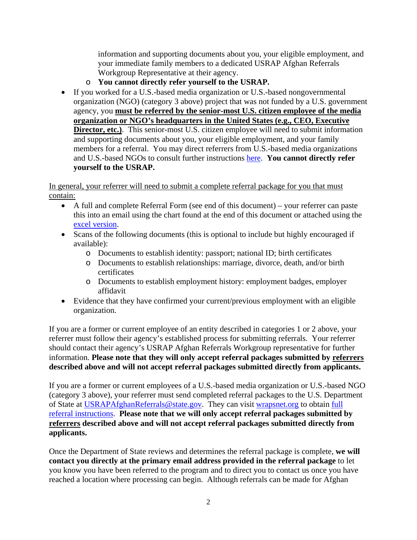information and supporting documents about you, your eligible employment, and your immediate family members to a dedicated USRAP Afghan Referrals Workgroup Representative at their agency.

- o **You cannot directly refer yourself to the USRAP.**
- If you worked for a U.S.-based media organization or U.S.-based nongovernmental organization (NGO) (category 3 above) project that was not funded by a U.S. government agency, you **must be referred by the senior-most U.S. citizen employee of the media organization or NGO's headquarters in the United States (e.g., CEO, Executive Director, etc.**). This senior-most U.S. citizen employee will need to submit information and supporting documents about you, your eligible employment, and your family members for a referral. You may direct referrers from U.S.-based media organizations and U.S.-based NGOs to consult further instructions [here.](https://www.wrapsnet.org/documents/Instructions%20%20for%20U.S.-Based%20Media%20&%20U.S.-Based%20NGOs%20Afghan%20P2%20Referrals.pdf) **You cannot directly refer yourself to the USRAP.**

In general, your referrer will need to submit a complete referral package for you that must contain:

- A full and complete Referral Form (see end of this document) your referrer can paste this into an email using the chart found at the end of this document or attached using the [excel version.](https://www.wrapsnet.org/documents/Excel%20Format%20of%20P2%20Referral%20Form.xlsx)
- Scans of the following documents (this is optional to include but highly encouraged if available):
	- o Documents to establish identity: passport; national ID; birth certificates
	- o Documents to establish relationships: marriage, divorce, death, and/or birth certificates
	- o Documents to establish employment history: employment badges, employer affidavit
- Evidence that they have confirmed your current/previous employment with an eligible organization.

If you are a former or current employee of an entity described in categories 1 or 2 above, your referrer must follow their agency's established process for submitting referrals. Your referrer should contact their agency's USRAP Afghan Referrals Workgroup representative for further information. **Please note that they will only accept referral packages submitted by referrers described above and will not accept referral packages submitted directly from applicants.**

If you are a former or current employees of a U.S.-based media organization or U.S.-based NGO (category 3 above), your referrer must send completed referral packages to the U.S. Department of State at [USRAPAfghanReferrals@state.gov.](mailto:USRAPAfghanReferrals@state.gov) They can visit [wrapsnet.org](https://www.wrapsnet.org/documents/Instructions%20%20for%20U.S.-Based%20Media%20&%20U.S.-Based%20NGOs%20Afghan%20P2%20Referrals.pdf) to obtain [full](https://www.wrapsnet.org/documents/Instructions%20%20for%20U.S.-Based%20Media%20&%20U.S.-Based%20NGOs%20Afghan%20P2%20Referrals.pdf)  [referral instructions.](https://www.wrapsnet.org/documents/Instructions%20%20for%20U.S.-Based%20Media%20&%20U.S.-Based%20NGOs%20Afghan%20P2%20Referrals.pdf) **Please note that we will only accept referral packages submitted by referrers described above and will not accept referral packages submitted directly from applicants.** 

Once the Department of State reviews and determines the referral package is complete, **we will contact you directly at the primary email address provided in the referral package** to let you know you have been referred to the program and to direct you to contact us once you have reached a location where processing can begin. Although referrals can be made for Afghan